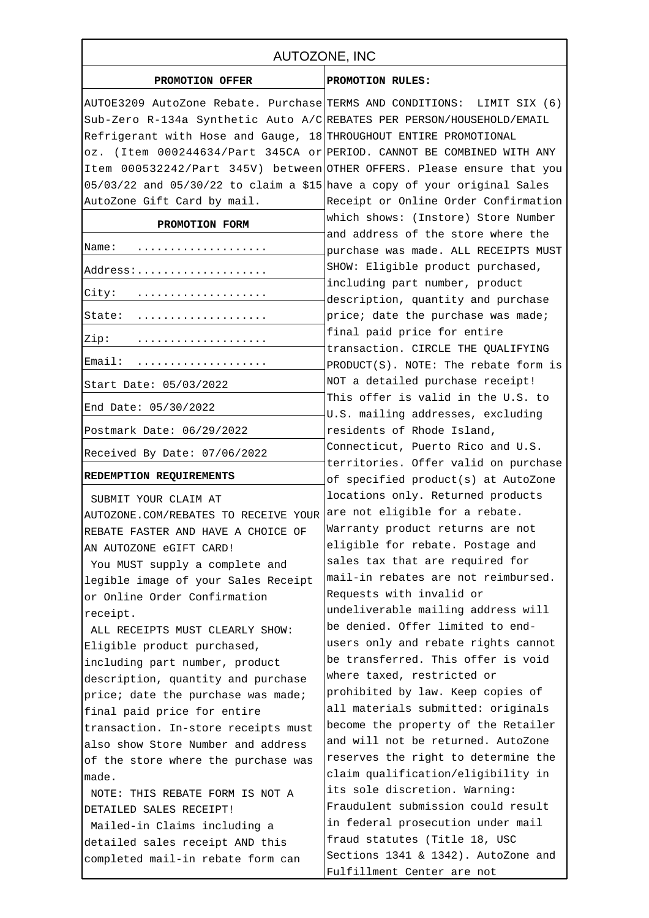| AUTOZONE, INC                                                                |                                                                             |
|------------------------------------------------------------------------------|-----------------------------------------------------------------------------|
| PROMOTION OFFER                                                              | PROMOTION RULES:                                                            |
| AUTOE3209 AutoZone Rebate. Purchase TERMS AND CONDITIONS: LIMIT SIX (6)      |                                                                             |
| Sub-Zero R-134a Synthetic Auto A/C REBATES PER PERSON/HOUSEHOLD/EMAIL        |                                                                             |
| Refrigerant with Hose and Gauge, 18 THROUGHOUT ENTIRE PROMOTIONAL            |                                                                             |
| oz. (Item 000244634/Part 345CA or PERIOD. CANNOT BE COMBINED WITH ANY        |                                                                             |
| Item 000532242/Part 345V) between OTHER OFFERS. Please ensure that you       |                                                                             |
| $05/03/22$ and $05/30/22$ to claim a \$15 have a copy of your original Sales |                                                                             |
| AutoZone Gift Card by mail.                                                  | Receipt or Online Order Confirmation                                        |
| PROMOTION FORM                                                               | which shows: (Instore) Store Number<br>and address of the store where the   |
| Name:                                                                        | purchase was made. ALL RECEIPTS MUST                                        |
| Address:                                                                     | SHOW: Eligible product purchased,                                           |
| City:                                                                        | including part number, product<br>description, quantity and purchase        |
| State:                                                                       | price; date the purchase was made;                                          |
| Zip:                                                                         | final paid price for entire                                                 |
|                                                                              | transaction. CIRCLE THE QUALIFYING                                          |
| Email:                                                                       | PRODUCT(S). NOTE: The rebate form is                                        |
| Start Date: 05/03/2022                                                       | NOT a detailed purchase receipt!<br>This offer is valid in the U.S. to      |
| End Date: 05/30/2022                                                         | U.S. mailing addresses, excluding                                           |
| Postmark Date: 06/29/2022                                                    | residents of Rhode Island,                                                  |
| Received By Date: 07/06/2022                                                 | Connecticut, Puerto Rico and U.S.                                           |
| REDEMPTION REQUIREMENTS                                                      | territories. Offer valid on purchase<br>of specified product(s) at AutoZone |
| SUBMIT YOUR CLAIM AT                                                         | locations only. Returned products                                           |
| AUTOZONE.COM/REBATES TO RECEIVE YOUR                                         | are not eligible for a rebate.                                              |
| REBATE FASTER AND HAVE A CHOICE OF                                           | Warranty product returns are not                                            |
| AN AUTOZONE eGIFT CARD!                                                      | eligible for rebate. Postage and                                            |
| You MUST supply a complete and                                               | sales tax that are required for                                             |
| legible image of your Sales Receipt                                          | mail-in rebates are not reimbursed.                                         |
| or Online Order Confirmation                                                 | Requests with invalid or                                                    |
| receipt.                                                                     | undeliverable mailing address will                                          |
| ALL RECEIPTS MUST CLEARLY SHOW:                                              | be denied. Offer limited to end-                                            |
| Eligible product purchased,                                                  | users only and rebate rights cannot                                         |
| including part number, product                                               | be transferred. This offer is void                                          |
| description, quantity and purchase                                           | where taxed, restricted or                                                  |
| price; date the purchase was made;                                           | prohibited by law. Keep copies of                                           |
| final paid price for entire                                                  | all materials submitted: originals                                          |
| transaction. In-store receipts must                                          | become the property of the Retailer                                         |
| also show Store Number and address                                           | and will not be returned. AutoZone                                          |
| of the store where the purchase was                                          | reserves the right to determine the                                         |
| made.                                                                        | claim qualification/eligibility in                                          |
| NOTE: THIS REBATE FORM IS NOT A                                              | its sole discretion. Warning:                                               |
| DETAILED SALES RECEIPT!                                                      | Fraudulent submission could result                                          |
| Mailed-in Claims including a                                                 | in federal prosecution under mail                                           |
| detailed sales receipt AND this                                              | fraud statutes (Title 18, USC                                               |
| completed mail-in rebate form can                                            | Sections 1341 & 1342). AutoZone and                                         |
|                                                                              | Fulfillment Center are not                                                  |